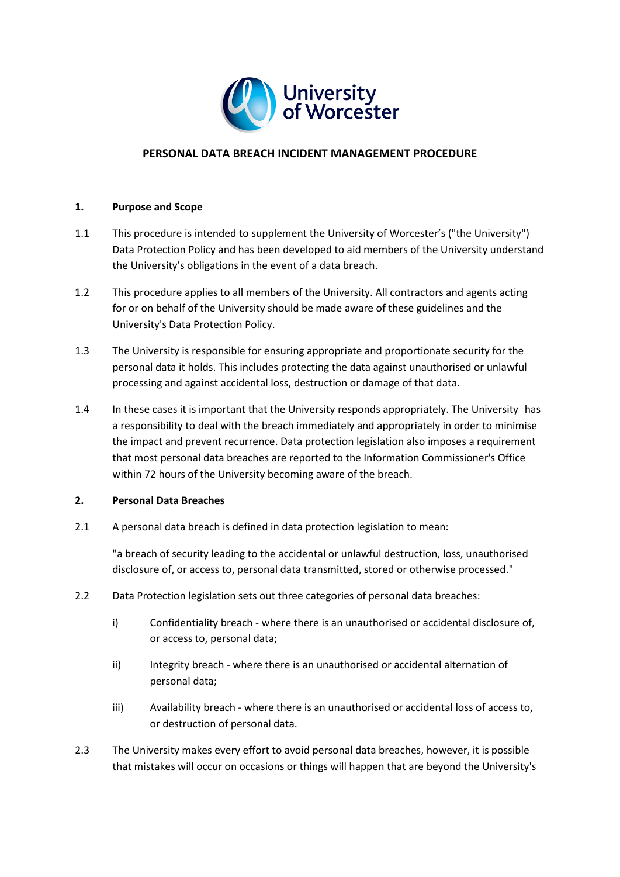

## **PERSONAL DATA BREACH INCIDENT MANAGEMENT PROCEDURE**

#### **1. Purpose and Scope**

- 1.1 This procedure is intended to supplement the University of Worcester's ("the University") Data Protection Policy and has been developed to aid members of the University understand the University's obligations in the event of a data breach.
- 1.2 This procedure applies to all members of the University. All contractors and agents acting for or on behalf of the University should be made aware of these guidelines and the University's Data Protection Policy.
- 1.3 The University is responsible for ensuring appropriate and proportionate security for the personal data it holds. This includes protecting the data against unauthorised or unlawful processing and against accidental loss, destruction or damage of that data.
- 1.4 In these cases it is important that the University responds appropriately. The University has a responsibility to deal with the breach immediately and appropriately in order to minimise the impact and prevent recurrence. Data protection legislation also imposes a requirement that most personal data breaches are reported to the Information Commissioner's Office within 72 hours of the University becoming aware of the breach.

#### **2. Personal Data Breaches**

2.1 A personal data breach is defined in data protection legislation to mean:

"a breach of security leading to the accidental or unlawful destruction, loss, unauthorised disclosure of, or access to, personal data transmitted, stored or otherwise processed."

- 2.2 Data Protection legislation sets out three categories of personal data breaches:
	- i) Confidentiality breach where there is an unauthorised or accidental disclosure of, or access to, personal data;
	- ii) Integrity breach where there is an unauthorised or accidental alternation of personal data;
	- iii) Availability breach where there is an unauthorised or accidental loss of access to, or destruction of personal data.
- 2.3 The University makes every effort to avoid personal data breaches, however, it is possible that mistakes will occur on occasions or things will happen that are beyond the University's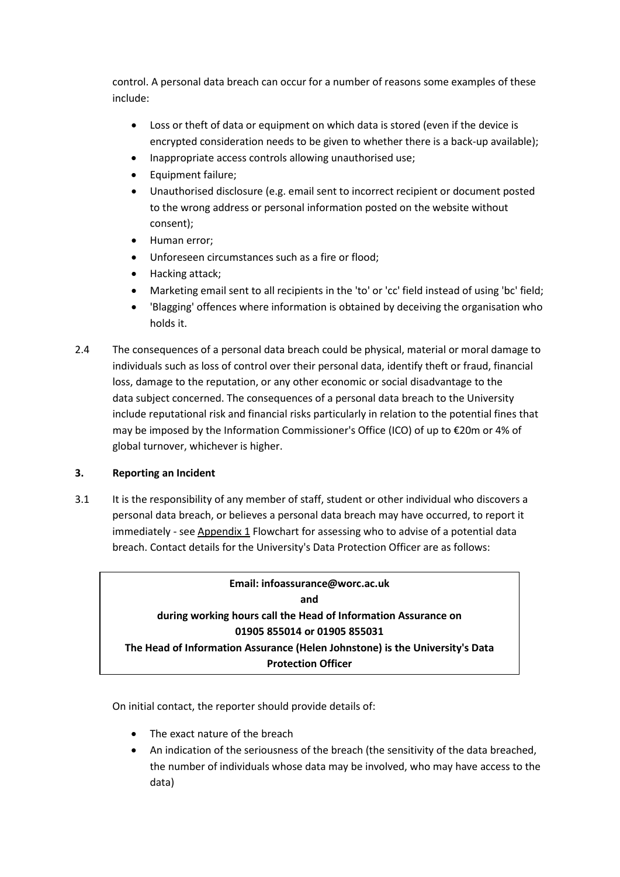control. A personal data breach can occur for a number of reasons some examples of these include:

- Loss or theft of data or equipment on which data is stored (even if the device is encrypted consideration needs to be given to whether there is a back-up available);
- Inappropriate access controls allowing unauthorised use;
- Equipment failure;
- Unauthorised disclosure (e.g. email sent to incorrect recipient or document posted to the wrong address or personal information posted on the website without consent);
- Human error;
- Unforeseen circumstances such as a fire or flood;
- Hacking attack;
- Marketing email sent to all recipients in the 'to' or 'cc' field instead of using 'bc' field;
- 'Blagging' offences where information is obtained by deceiving the organisation who holds it.
- 2.4 The consequences of a personal data breach could be physical, material or moral damage to individuals such as loss of control over their personal data, identify theft or fraud, financial loss, damage to the reputation, or any other economic or social disadvantage to the data subject concerned. The consequences of a personal data breach to the University include reputational risk and financial risks particularly in relation to the potential fines that may be imposed by the Information Commissioner's Office (ICO) of up to €20m or 4% of global turnover, whichever is higher.

## **3. Reporting an Incident**

3.1 It is the responsibility of any member of staff, student or other individual who discovers a personal data breach, or believes a personal data breach may have occurred, to report it immediately - see Appendix 1 Flowchart for assessing who to advise of a potential data breach. Contact details for the University's Data Protection Officer are as follows:

**Email: infoassurance@worc.ac.uk and during working hours call the Head of Information Assurance on 01905 855014 or 01905 855031 The Head of Information Assurance (Helen Johnstone) is the University's Data Protection Officer**

On initial contact, the reporter should provide details of:

- The exact nature of the breach
- An indication of the seriousness of the breach (the sensitivity of the data breached, the number of individuals whose data may be involved, who may have access to the data)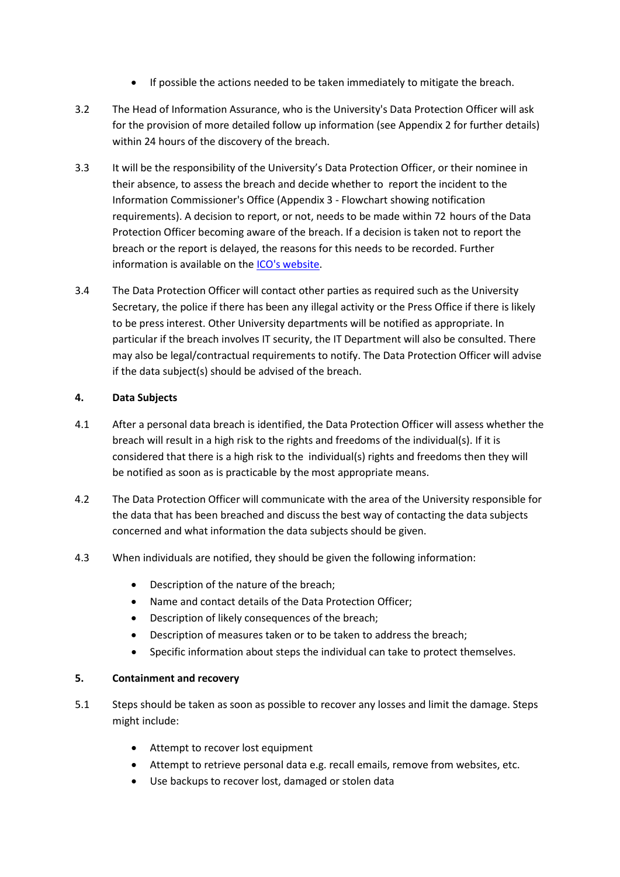- If possible the actions needed to be taken immediately to mitigate the breach.
- 3.2 The Head of Information Assurance, who is the University's Data Protection Officer will ask for the provision of more detailed follow up information (see Appendix 2 for further details) within 24 hours of the discovery of the breach.
- 3.3 It will be the responsibility of the University's Data Protection Officer, or their nominee in their absence, to assess the breach and decide whether to report the incident to the Information Commissioner's Office (Appendix 3 - Flowchart showing notification requirements). A decision to report, or not, needs to be made within 72 hours of the Data Protection Officer becoming aware of the breach. If a decision is taken not to report the breach or the report is delayed, the reasons for this needs to be recorded. Further information is available on th[e ICO's website.](https://ico.org.uk/for-organisations/report-a-breach/)
- 3.4 The Data Protection Officer will contact other parties as required such as the University Secretary, the police if there has been any illegal activity or the Press Office if there is likely to be press interest. Other University departments will be notified as appropriate. In particular if the breach involves IT security, the IT Department will also be consulted. There may also be legal/contractual requirements to notify. The Data Protection Officer will advise if the data subject(s) should be advised of the breach.

## **4. Data Subjects**

- 4.1 After a personal data breach is identified, the Data Protection Officer will assess whether the breach will result in a high risk to the rights and freedoms of the individual(s). If it is considered that there is a high risk to the individual(s) rights and freedoms then they will be notified as soon as is practicable by the most appropriate means.
- 4.2 The Data Protection Officer will communicate with the area of the University responsible for the data that has been breached and discuss the best way of contacting the data subjects concerned and what information the data subjects should be given.
- 4.3 When individuals are notified, they should be given the following information:
	- Description of the nature of the breach;
	- Name and contact details of the Data Protection Officer;
	- Description of likely consequences of the breach;
	- Description of measures taken or to be taken to address the breach;
	- Specific information about steps the individual can take to protect themselves.

#### **5. Containment and recovery**

- 5.1 Steps should be taken as soon as possible to recover any losses and limit the damage. Steps might include:
	- Attempt to recover lost equipment
	- Attempt to retrieve personal data e.g. recall emails, remove from websites, etc.
	- Use backups to recover lost, damaged or stolen data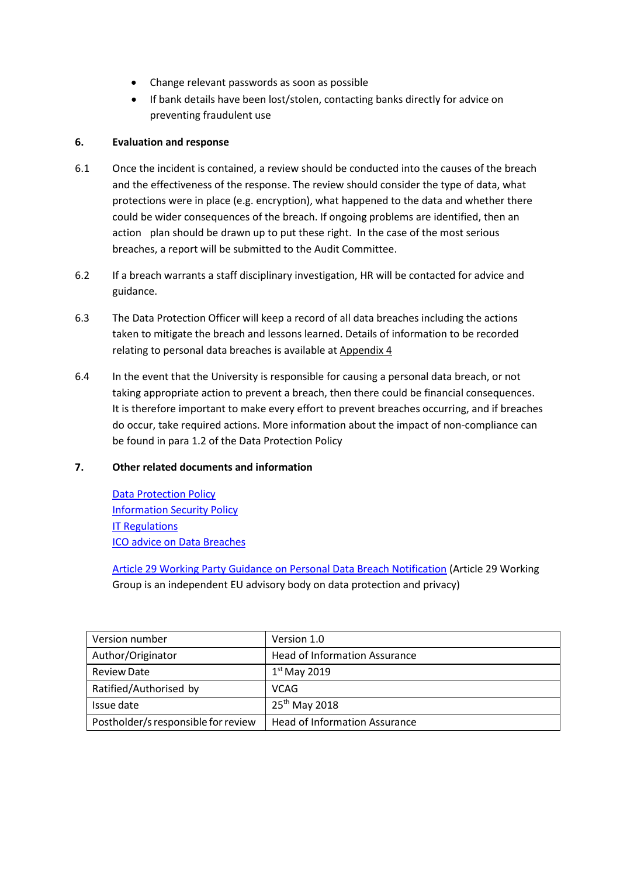- Change relevant passwords as soon as possible
- If bank details have been lost/stolen, contacting banks directly for advice on preventing fraudulent use

## **6. Evaluation and response**

- 6.1 Once the incident is contained, a review should be conducted into the causes of the breach and the effectiveness of the response. The review should consider the type of data, what protections were in place (e.g. encryption), what happened to the data and whether there could be wider consequences of the breach. If ongoing problems are identified, then an action plan should be drawn up to put these right. In the case of the most serious breaches, a report will be submitted to the Audit Committee.
- 6.2 If a breach warrants a staff disciplinary investigation, HR will be contacted for advice and guidance.
- 6.3 The Data Protection Officer will keep a record of all data breaches including the actions taken to mitigate the breach and lessons learned. Details of information to be recorded relating to personal data breaches is available at Appendix 4
- 6.4 In the event that the University is responsible for causing a personal data breach, or not taking appropriate action to prevent a breach, then there could be financial consequences. It is therefore important to make every effort to prevent breaches occurring, and if breaches do occur, take required actions. More information about the impact of non-compliance can be found in para 1.2 of the Data Protection Policy

## **7. Other related documents and information**

[Data Protection Policy](https://www.worcester.ac.uk/informationassurance/content_images/Data_Protection_Policy_May2018(1).pdf) [Information Security Policy](https://www.worcester.ac.uk/informationassurance/information-security.html) [IT Regulations](https://www.worc.ac.uk/ict/documents/ICT_Regulations_v2.5.pdf) [ICO advice on Data Breaches](https://ico.org.uk/for-organisations/guide-to-the-general-data-protection-regulation-gdpr/personal-data-breaches/)

Article 29 Working Party Guidance on Personal Data Breach Notification (Article 29 Working Group is an independent EU advisory body on data protection and privacy)

| Version number                      | Version 1.0                          |
|-------------------------------------|--------------------------------------|
| Author/Originator                   | <b>Head of Information Assurance</b> |
| <b>Review Date</b>                  | $1st$ May 2019                       |
| Ratified/Authorised by              | <b>VCAG</b>                          |
| Issue date                          | 25 <sup>th</sup> May 2018            |
| Postholder/s responsible for review | <b>Head of Information Assurance</b> |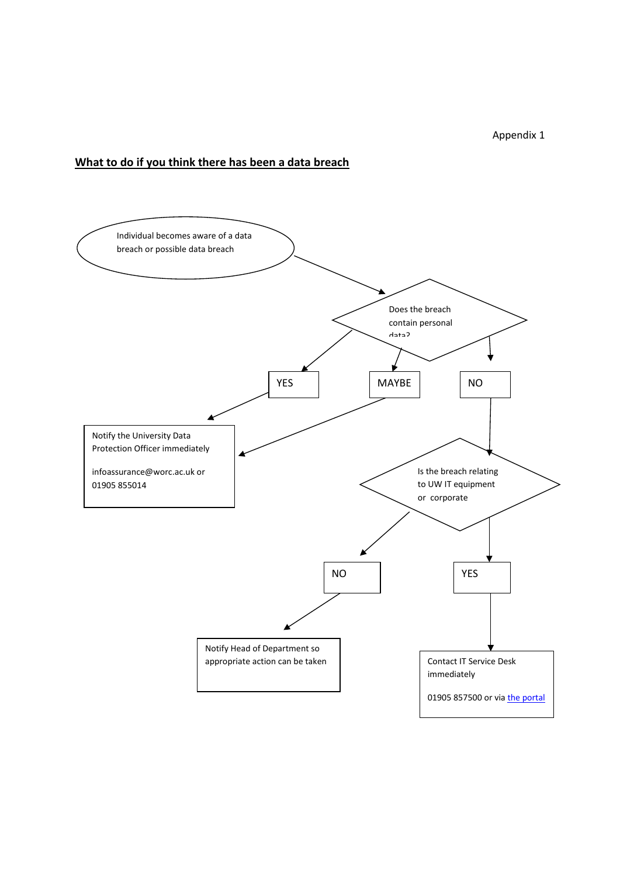Appendix 1

## **What to do if you think there has been a data breach**

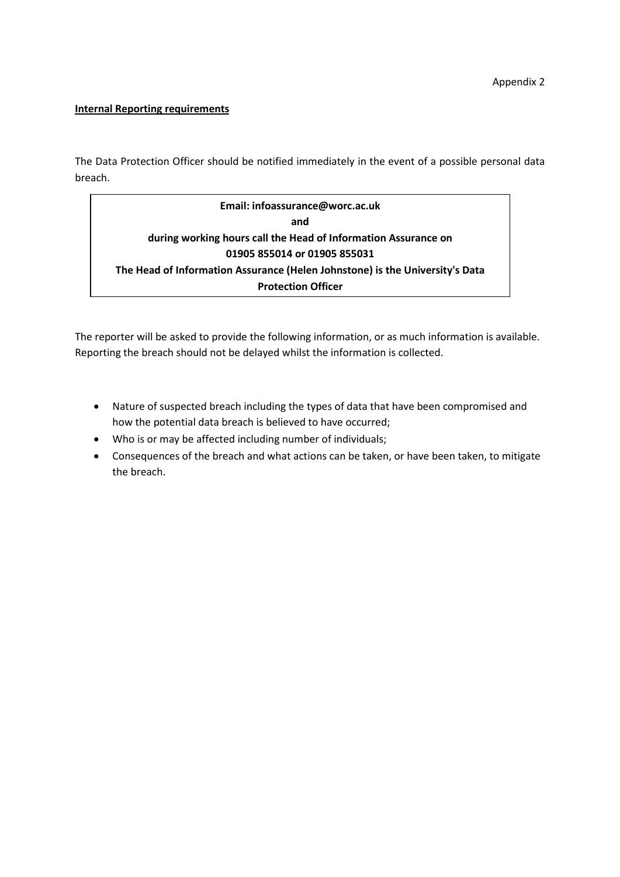#### **Internal Reporting requirements**

The Data Protection Officer should be notified immediately in the event of a possible personal data breach.

**Email: infoassurance@worc.ac.uk and during working hours call the Head of Information Assurance on 01905 855014 or 01905 855031 The Head of Information Assurance (Helen Johnstone) is the University's Data Protection Officer**

The reporter will be asked to provide the following information, or as much information is available. Reporting the breach should not be delayed whilst the information is collected.

- Nature of suspected breach including the types of data that have been compromised and how the potential data breach is believed to have occurred;
- Who is or may be affected including number of individuals;
- Consequences of the breach and what actions can be taken, or have been taken, to mitigate the breach.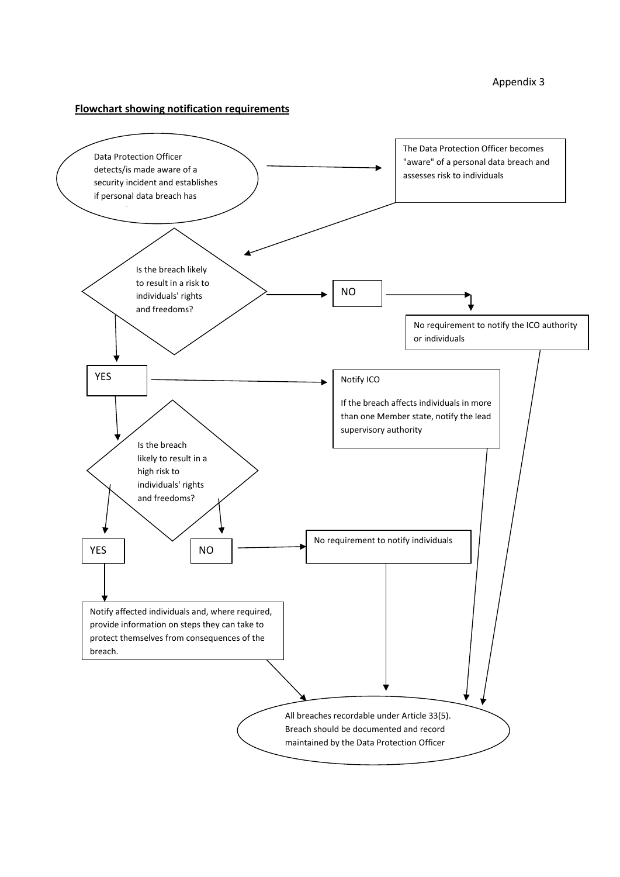#### **Flowchart showing notification requirements**